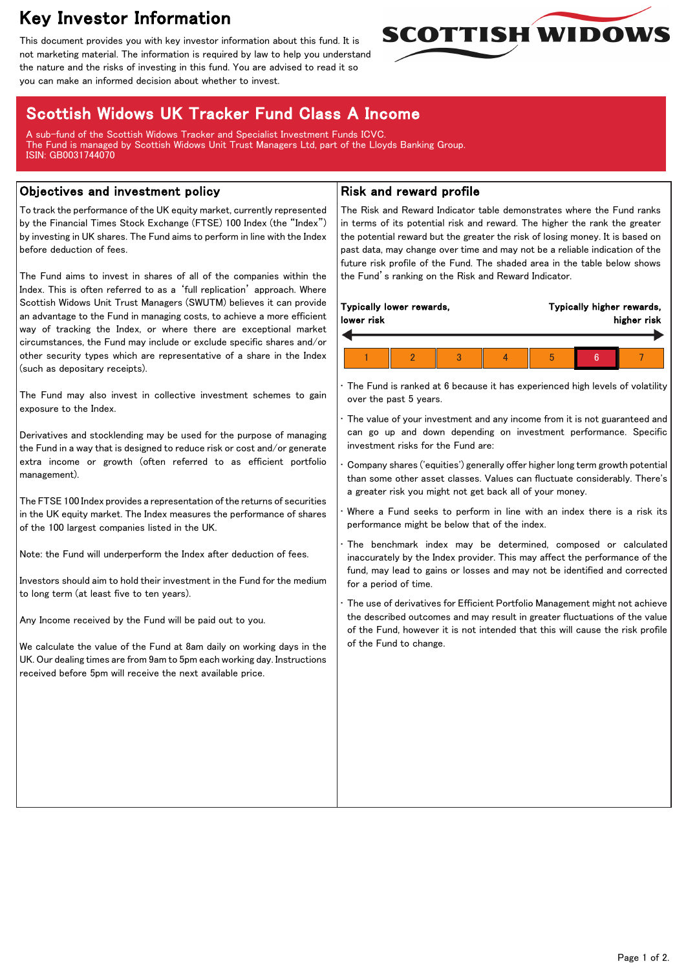# Key Investor Information

This document provides you with key investor information about this fund. It is not marketing material. The information is required by law to help you understand the nature and the risks of investing in this fund. You are advised to read it so you can make an informed decision about whether to invest.



## Scottish Widows UK Tracker Fund Class A Income

A sub-fund of the Scottish Widows Tracker and Specialist Investment Funds ICVC. The Fund is managed by Scottish Widows Unit Trust Managers Ltd, part of the Lloyds Banking Group. ISIN: GB0031744070

#### Objectives and investment policy

To track the performance of the UK equity market, currently represented by the Financial Times Stock Exchange (FTSE) 100 Index (the "Index") by investing in UK shares. The Fund aims to perform in line with the Index before deduction of fees.

The Fund aims to invest in shares of all of the companies within the Index. This is often referred to as a 'full replication' approach. Where Scottish Widows Unit Trust Managers (SWUTM) believes it can provide an advantage to the Fund in managing costs, to achieve a more efficient way of tracking the Index, or where there are exceptional market circumstances, the Fund may include or exclude specific shares and/or other security types which are representative of a share in the Index (such as depositary receipts).

The Fund may also invest in collective investment schemes to gain exposure to the Index.

Derivatives and stocklending may be used for the purpose of managing the Fund in a way that is designed to reduce risk or cost and/or generate extra income or growth (often referred to as efficient portfolio management).

The FTSE 100 Index provides a representation of the returns of securities in the UK equity market. The Index measures the performance of shares of the 100 largest companies listed in the UK.

Note: the Fund will underperform the Index after deduction of fees.

Investors should aim to hold their investment in the Fund for the medium to long term (at least five to ten years).

Any Income received by the Fund will be paid out to you.

We calculate the value of the Fund at 8am daily on working days in the UK. Our dealing times are from 9am to 5pm each working day. Instructions received before 5pm will receive the next available price.

### Risk and reward profile

The Risk and Reward Indicator table demonstrates where the Fund ranks in terms of its potential risk and reward. The higher the rank the greater the potential reward but the greater the risk of losing money. It is based on past data, may change over time and may not be a reliable indication of the future risk profile of the Fund. The shaded area in the table below shows the Fund's ranking on the Risk and Reward Indicator.

| lower risk | Typically lower rewards, |  | Typically higher rewards,<br>higher risk |  |  |  |
|------------|--------------------------|--|------------------------------------------|--|--|--|
|            |                          |  |                                          |  |  |  |
|            |                          |  | b                                        |  |  |  |

The Fund is ranked at 6 because it has experienced high levels of volatility over the past 5 years.

The value of your investment and any income from it is not guaranteed and can go up and down depending on investment performance. Specific investment risks for the Fund are:

• Company shares ('equities') generally offer higher long term growth potential than some other asset classes. Values can fluctuate considerably. There's a greater risk you might not get back all of your money.

Where a Fund seeks to perform in line with an index there is a risk its performance might be below that of the index.

The benchmark index may be determined, composed or calculated inaccurately by the Index provider. This may affect the performance of the fund, may lead to gains or losses and may not be identified and corrected for a period of time.

The use of derivatives for Efficient Portfolio Management might not achieve the described outcomes and may result in greater fluctuations of the value of the Fund, however it is not intended that this will cause the risk profile of the Fund to change.